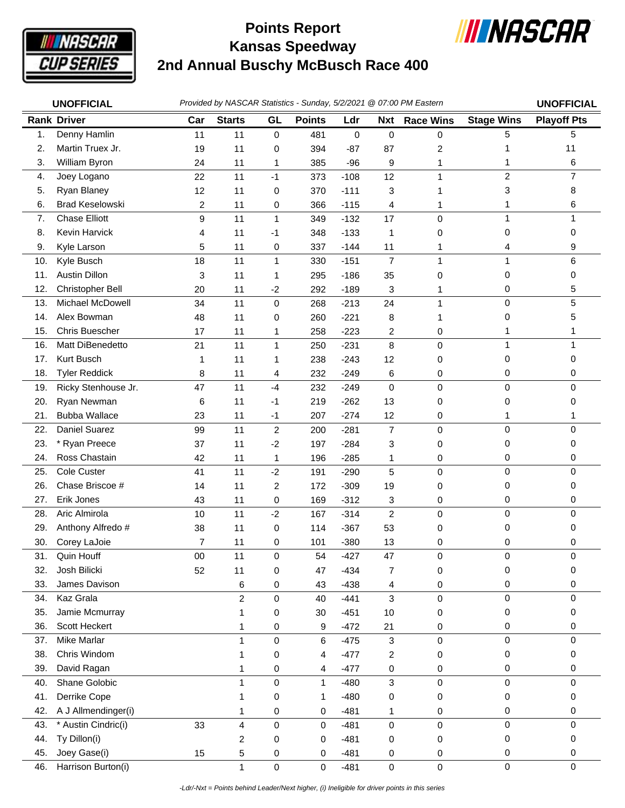

## **Kansas Speedway 2nd Annual Buschy McBusch Race 400 Points Report**



| <b>UNOFFICIAL</b> |                        | Provided by NASCAR Statistics - Sunday, 5/2/2021 @ 07:00 PM Eastern | <b>UNOFFICIAL</b> |              |               |        |                         |                  |                   |                    |
|-------------------|------------------------|---------------------------------------------------------------------|-------------------|--------------|---------------|--------|-------------------------|------------------|-------------------|--------------------|
|                   | <b>Rank Driver</b>     | Car                                                                 | <b>Starts</b>     | GL           | <b>Points</b> | Ldr    | <b>Nxt</b>              | <b>Race Wins</b> | <b>Stage Wins</b> | <b>Playoff Pts</b> |
| $\mathbf{1}$ .    | Denny Hamlin           | 11                                                                  | 11                | $\mathbf 0$  | 481           | 0      | 0                       | 0                | 5                 | 5                  |
| 2.                | Martin Truex Jr.       | 19                                                                  | 11                | 0            | 394           | $-87$  | 87                      | $\overline{c}$   |                   | 11                 |
| 3.                | William Byron          | 24                                                                  | 11                | 1            | 385           | $-96$  | 9                       | 1                | 1                 | 6                  |
| 4.                | Joey Logano            | 22                                                                  | 11                | $-1$         | 373           | $-108$ | 12                      | 1                | $\overline{c}$    | $\overline{7}$     |
| 5.                | Ryan Blaney            | 12                                                                  | 11                | 0            | 370           | $-111$ | 3                       |                  | 3                 | 8                  |
| 6.                | <b>Brad Keselowski</b> | $\overline{c}$                                                      | 11                | 0            | 366           | $-115$ | 4                       | 1                | 1                 | 6                  |
| 7.                | <b>Chase Elliott</b>   | 9                                                                   | 11                | $\mathbf{1}$ | 349           | $-132$ | 17                      | 0                | 1                 |                    |
| 8.                | Kevin Harvick          | 4                                                                   | 11                | -1           | 348           | $-133$ | 1                       | 0                | 0                 | 0                  |
| 9.                | Kyle Larson            | 5                                                                   | 11                | 0            | 337           | $-144$ | 11                      | 1                | 4                 | 9                  |
| 10.               | Kyle Busch             | 18                                                                  | 11                | 1            | 330           | $-151$ | $\overline{7}$          | 1                | 1                 | 6                  |
| 11.               | Austin Dillon          | 3                                                                   | 11                | 1            | 295           | $-186$ | 35                      | 0                | 0                 | 0                  |
| 12.               | Christopher Bell       | 20                                                                  | 11                | $-2$         | 292           | $-189$ | 3                       | 1                | 0                 | 5                  |
| 13.               | Michael McDowell       | 34                                                                  | 11                | $\mathbf 0$  | 268           | $-213$ | 24                      | $\mathbf{1}$     | 0                 | 5                  |
| 14.               | Alex Bowman            | 48                                                                  | 11                | 0            | 260           | $-221$ | 8                       |                  | 0                 | 5                  |
| 15.               | Chris Buescher         | 17                                                                  | 11                | 1            | 258           | $-223$ | $\overline{\mathbf{c}}$ | 0                | 1                 |                    |
| 16.               | Matt DiBenedetto       | 21                                                                  | 11                | 1            | 250           | $-231$ | 8                       | $\mathbf 0$      | 1                 |                    |
| 17.               | Kurt Busch             | 1                                                                   | 11                | 1            | 238           | $-243$ | 12                      | 0                | 0                 | $\Omega$           |
| 18.               | <b>Tyler Reddick</b>   | 8                                                                   | 11                | 4            | 232           | $-249$ | 6                       | 0                | 0                 | 0                  |
| 19.               | Ricky Stenhouse Jr.    | 47                                                                  | 11                | $-4$         | 232           | $-249$ | 0                       | $\pmb{0}$        | 0                 | 0                  |
| 20.               | Ryan Newman            | 6                                                                   | 11                | -1           | 219           | $-262$ | 13                      | 0                | 0                 | 0                  |
| 21.               | <b>Bubba Wallace</b>   | 23                                                                  | 11                | $-1$         | 207           | $-274$ | 12                      | 0                | 1                 |                    |
| 22.               | Daniel Suarez          | 99                                                                  | 11                | $\sqrt{2}$   | 200           | $-281$ | $\overline{7}$          | 0                | $\mathsf 0$       | $\Omega$           |
| 23.               | * Ryan Preece          | 37                                                                  | 11                | $-2$         | 197           | $-284$ | 3                       | 0                | 0                 | 0                  |
| 24.               | Ross Chastain          | 42                                                                  | 11                | 1            | 196           | $-285$ | 1                       | 0                | 0                 | 0                  |
| 25.               | Cole Custer            | 41                                                                  | 11                | $-2$         | 191           | $-290$ | 5                       | $\mathbf 0$      | 0                 | 0                  |
| 26.               | Chase Briscoe #        | 14                                                                  | 11                | 2            | 172           | $-309$ | 19                      | 0                | 0                 | 0                  |
| 27.               | Erik Jones             | 43                                                                  | 11                | 0            | 169           | $-312$ | 3                       | 0                | 0                 | 0                  |
| 28.               | Aric Almirola          | 10                                                                  | 11                | $-2$         | 167           | $-314$ | $\overline{c}$          | $\pmb{0}$        | $\mathsf 0$       | 0                  |
| 29.               | Anthony Alfredo #      | 38                                                                  | 11                | 0            | 114           | $-367$ | 53                      | 0                | 0                 | 0                  |
| 30.               | Corey LaJoie           | $\overline{7}$                                                      | 11                | 0            | 101           | $-380$ | 13                      | 0                | 0                 | 0                  |
| 31.               | Quin Houff             | $00\,$                                                              | 11                | 0            | 54            | $-427$ | 47                      | $\mathbf 0$      | 0                 | 0                  |
| 32.               | Josh Bilicki           | 52                                                                  | 11                | 0            | 47            | $-434$ | 7                       | 0                | 0                 | 0                  |
| 33.               | James Davison          |                                                                     | 6                 | 0            | 43            | $-438$ | 4                       | 0                | 0                 | 0                  |
| 34.               | Kaz Grala              |                                                                     | $\overline{c}$    | 0            | 40            | $-441$ | 3                       | $\mathsf 0$      | 0                 | 0                  |
| 35.               | Jamie Mcmurray         |                                                                     |                   | 0            | 30            | $-451$ | 10                      | 0                | 0                 | 0                  |
| 36.               | Scott Heckert          |                                                                     | 1                 | 0            | 9             | $-472$ | 21                      | 0                | 0                 | 0                  |
| 37.               | <b>Mike Marlar</b>     |                                                                     | 1                 | 0            | 6             | $-475$ | 3                       | $\mathsf 0$      | 0                 | 0                  |
| 38.               | Chris Windom           |                                                                     |                   | 0            | 4             | $-477$ | 2                       | 0                | 0                 | 0                  |
| 39.               | David Ragan            |                                                                     |                   | 0            | 4             | $-477$ | 0                       | 0                | 0                 | 0                  |
| 40.               | Shane Golobic          |                                                                     | 1                 | 0            | $\mathbf{1}$  | $-480$ | 3                       | 0                | 0                 | 0                  |
| 41.               | Derrike Cope           |                                                                     |                   | 0            | 1             | $-480$ | 0                       | 0                | 0                 | 0                  |
| 42.               | A J Allmendinger(i)    |                                                                     | 1                 | 0            | 0             | $-481$ | 1                       | 0                | 0                 | 0                  |
| 43.               | * Austin Cindric(i)    | 33                                                                  | 4                 | 0            | $\mathbf 0$   | $-481$ | $\mathbf 0$             | $\mathsf 0$      | 0                 | $\mathbf 0$        |
| 44.               | Ty Dillon(i)           |                                                                     | 2                 | 0            | 0             | $-481$ | 0                       | 0                | 0                 | 0                  |
| 45.               | Joey Gase(i)           | 15                                                                  | 5                 | 0            | 0             | $-481$ | 0                       | 0                | 0                 | 0                  |
| 46.               | Harrison Burton(i)     |                                                                     | 1                 | $\pmb{0}$    | $\pmb{0}$     | $-481$ | $\mathbf 0$             | $\pmb{0}$        | 0                 | 0                  |